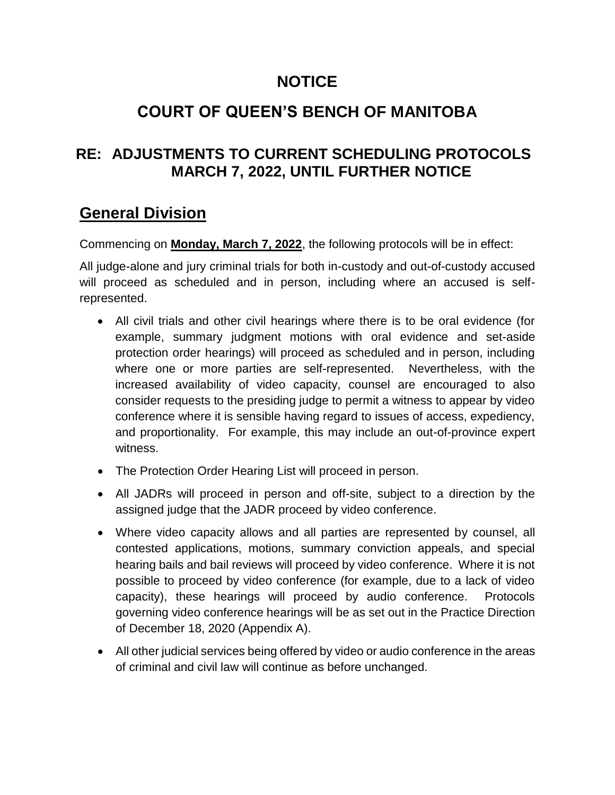# **NOTICE**

# **COURT OF QUEEN'S BENCH OF MANITOBA**

### **RE: ADJUSTMENTS TO CURRENT SCHEDULING PROTOCOLS MARCH 7, 2022, UNTIL FURTHER NOTICE**

## **General Division**

Commencing on **Monday, March 7, 2022**, the following protocols will be in effect:

All judge-alone and jury criminal trials for both in-custody and out-of-custody accused will proceed as scheduled and in person, including where an accused is selfrepresented.

- All civil trials and other civil hearings where there is to be oral evidence (for example, summary judgment motions with oral evidence and set-aside protection order hearings) will proceed as scheduled and in person, including where one or more parties are self-represented. Nevertheless, with the increased availability of video capacity, counsel are encouraged to also consider requests to the presiding judge to permit a witness to appear by video conference where it is sensible having regard to issues of access, expediency, and proportionality. For example, this may include an out-of-province expert witness.
- The Protection Order Hearing List will proceed in person.
- All JADRs will proceed in person and off-site, subject to a direction by the assigned judge that the JADR proceed by video conference.
- Where video capacity allows and all parties are represented by counsel, all contested applications, motions, summary conviction appeals, and special hearing bails and bail reviews will proceed by video conference. Where it is not possible to proceed by video conference (for example, due to a lack of video capacity), these hearings will proceed by audio conference. Protocols governing video conference hearings will be as set out in the Practice Direction of December 18, 2020 (Appendix A).
- All other judicial services being offered by video or audio conference in the areas of criminal and civil law will continue as before unchanged.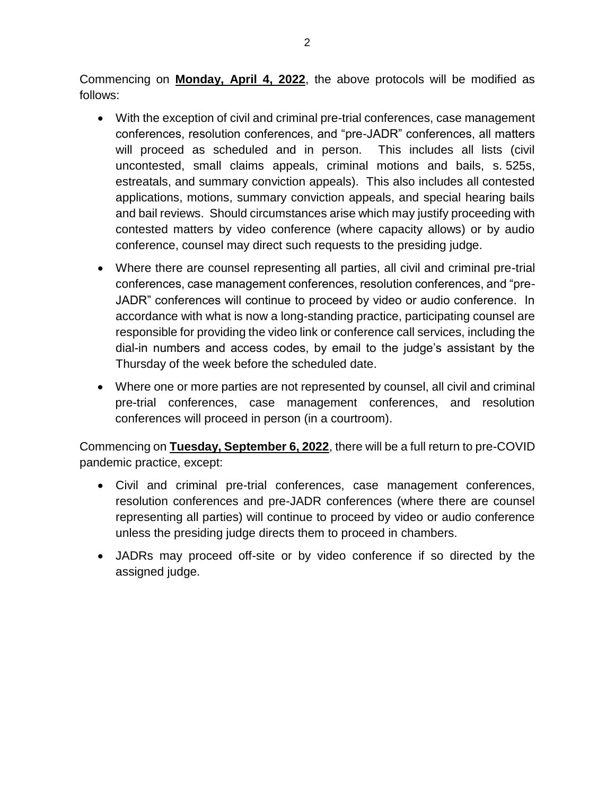Commencing on **Monday, April 4, 2022**, the above protocols will be modified as follows:

- With the exception of civil and criminal pre-trial conferences, case management conferences, resolution conferences, and "pre-JADR" conferences, all matters will proceed as scheduled and in person. This includes all lists (civil uncontested, small claims appeals, criminal motions and bails, s. 525s, estreatals, and summary conviction appeals). This also includes all contested applications, motions, summary conviction appeals, and special hearing bails and bail reviews. Should circumstances arise which may justify proceeding with contested matters by video conference (where capacity allows) or by audio conference, counsel may direct such requests to the presiding judge.
- Where there are counsel representing all parties, all civil and criminal pre-trial conferences, case management conferences, resolution conferences, and "pre-JADR" conferences will continue to proceed by video or audio conference. In accordance with what is now a long-standing practice, participating counsel are responsible for providing the video link or conference call services, including the dial-in numbers and access codes, by email to the judge's assistant by the Thursday of the week before the scheduled date.
- Where one or more parties are not represented by counsel, all civil and criminal pre-trial conferences, case management conferences, and resolution conferences will proceed in person (in a courtroom).

Commencing on **Tuesday, September 6, 2022**, there will be a full return to pre-COVID pandemic practice, except:

- Civil and criminal pre-trial conferences, case management conferences, resolution conferences and pre-JADR conferences (where there are counsel representing all parties) will continue to proceed by video or audio conference unless the presiding judge directs them to proceed in chambers.
- JADRs may proceed off-site or by video conference if so directed by the assigned judge.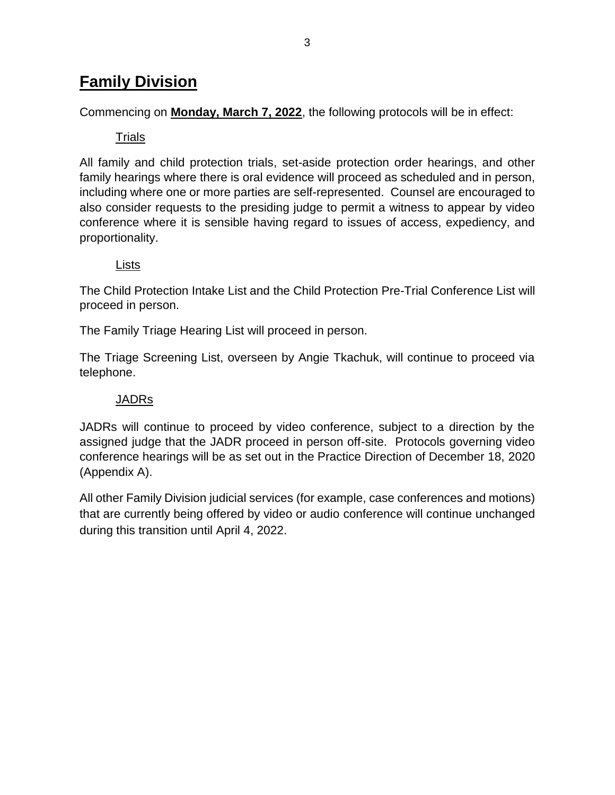# **Family Division**

Commencing on **Monday, March 7, 2022**, the following protocols will be in effect:

### Trials

All family and child protection trials, set-aside protection order hearings, and other family hearings where there is oral evidence will proceed as scheduled and in person, including where one or more parties are self-represented. Counsel are encouraged to also consider requests to the presiding judge to permit a witness to appear by video conference where it is sensible having regard to issues of access, expediency, and proportionality.

#### Lists

The Child Protection Intake List and the Child Protection Pre-Trial Conference List will proceed in person.

The Family Triage Hearing List will proceed in person.

The Triage Screening List, overseen by Angie Tkachuk, will continue to proceed via telephone.

#### JADRs

JADRs will continue to proceed by video conference, subject to a direction by the assigned judge that the JADR proceed in person off-site. Protocols governing video conference hearings will be as set out in the Practice Direction of December 18, 2020 (Appendix A).

All other Family Division judicial services (for example, case conferences and motions) that are currently being offered by video or audio conference will continue unchanged during this transition until April 4, 2022.